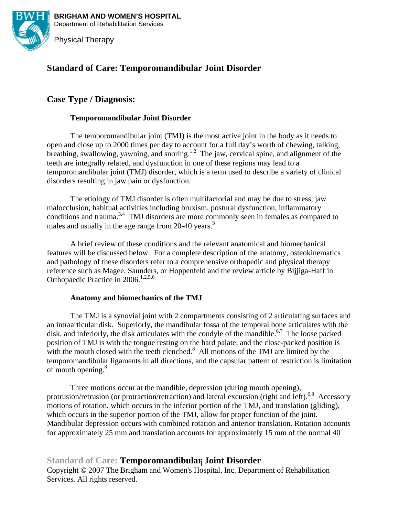

**BRIGHAM AND WOMEN'S HOSPITAL BRIGHAM AND WOMEN'S HOSPITAL**  Department of Rehabilitation Services Department of Rehabilitation Services



## **Standard of Care: Temporomandibular Joint Disorder**

## **Case Type / Diagnosis:**

#### **Temporomandibular Joint Disorder**

The temporomandibular joint (TMJ) is the most active joint in the body as it needs to open and close up to 2000 times per day to account for a full day's worth of chewing, talking, breathing, swallowing, yawning, and snoring.<sup>1,2</sup> The jaw, cervical spine, and alignment of the teeth are integrally related, and dysfunction in one of these regions may lead to a temporomandibular joint (TMJ) disorder, which is a term used to describe a variety of clinical disorders resulting in jaw pain or dysfunction.

The etiology of TMJ disorder is often multifactorial and may be due to stress, jaw malocclusion, habitual activities including bruxism, postural dysfunction, inflammatory conditions and trauma.<sup>3,4</sup> TMJ disorders are more commonly seen in females as compared to males and usually in the age range from 20-40 years.<sup>3</sup>

A brief review of these conditions and the relevant anatomical and biomechanical features will be discussed below. For a complete description of the anatomy, osteokinematics and pathology of these disorders refer to a comprehensive orthopedic and physical therapy reference such as Magee, Saunders, or Hoppenfeld and the review article by Bijjiga-Haff in Orthopaedic Practice in 2006.<sup>1,2,5,6</sup>

#### **Anatomy and biomechanics of the TMJ**

The TMJ is a synovial joint with 2 compartments consisting of 2 articulating surfaces and an intraarticular disk. Superiorly, the mandibular fossa of the temporal bone articulates with the disk, and inferiorly, the disk articulates with the condyle of the mandible.<sup>6,7</sup> The loose packed position of TMJ is with the tongue resting on the hard palate, and the close-packed position is with the mouth closed with the teeth clenched. $8$  All motions of the TMJ are limited by the temporomandibular ligaments in all directions, and the capsular pattern of restriction is limitation of mouth opening.<sup>8</sup>

Three motions occur at the mandible, depression (during mouth opening), protrusion/retrusion (or protraction/retraction) and lateral excursion (right and left).<sup>6,8</sup> Accessory motions of rotation, which occurs in the inferior portion of the TMJ, and translation (gliding), which occurs in the superior portion of the TMJ, allow for proper function of the joint. Mandibular depression occurs with combined rotation and anterior translation. Rotation accounts for approximately 25 mm and translation accounts for approximately 15 mm of the normal 40

# **Standard of Care: Temporomandibular Joint Disorder** 1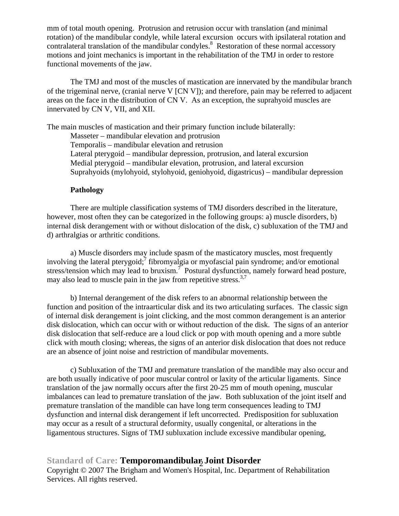mm of total mouth opening. Protrusion and retrusion occur with translation (and minimal rotation) of the mandibular condyle, while lateral excursion occurs with ipsilateral rotation and contralateral translation of the mandibular condyles. $8$  Restoration of these normal accessory motions and joint mechanics is important in the rehabilitation of the TMJ in order to restore functional movements of the jaw.

The TMJ and most of the muscles of mastication are innervated by the mandibular branch of the trigeminal nerve, (cranial nerve V [CN V]); and therefore, pain may be referred to adjacent areas on the face in the distribution of CN V. As an exception, the suprahyoid muscles are innervated by CN V, VII, and XII.

The main muscles of mastication and their primary function include bilaterally:

Masseter – mandibular elevation and protrusion

Temporalis – mandibular elevation and retrusion

Lateral pterygoid – mandibular depression, protrusion, and lateral excursion

Medial pterygoid – mandibular elevation, protrusion, and lateral excursion

Suprahyoids (mylohyoid, stylohyoid, geniohyoid, digastricus) – mandibular depression

#### **Pathology**

There are multiple classification systems of TMJ disorders described in the literature, however, most often they can be categorized in the following groups: a) muscle disorders, b) internal disk derangement with or without dislocation of the disk, c) subluxation of the TMJ and d) arthralgias or arthritic conditions.

a) Muscle disorders may include spasm of the masticatory muscles, most frequently involving the lateral pterygoid;  $\hbar$  fibromyalgia or myofascial pain syndrome; and/or emotional stress/tension which may lead to bruxism.<sup>7</sup> Postural dysfunction, namely forward head posture, may also lead to muscle pain in the jaw from repetitive stress.  $3.7$ 

b) Internal derangement of the disk refers to an abnormal relationship between the function and position of the intraarticular disk and its two articulating surfaces. The classic sign of internal disk derangement is joint clicking, and the most common derangement is an anterior disk dislocation, which can occur with or without reduction of the disk. The signs of an anterior disk dislocation that self-reduce are a loud click or pop with mouth opening and a more subtle click with mouth closing; whereas, the signs of an anterior disk dislocation that does not reduce are an absence of joint noise and restriction of mandibular movements.

c) Subluxation of the TMJ and premature translation of the mandible may also occur and are both usually indicative of poor muscular control or laxity of the articular ligaments. Since translation of the jaw normally occurs after the first 20-25 mm of mouth opening, muscular imbalances can lead to premature translation of the jaw. Both subluxation of the joint itself and premature translation of the mandible can have long term consequences leading to TMJ dysfunction and internal disk derangement if left uncorrected. Predisposition for subluxation may occur as a result of a structural deformity, usually congenital, or alterations in the ligamentous structures. Signs of TMJ subluxation include excessive mandibular opening,

## Standard of Care: Temporomandibular Joint Disorder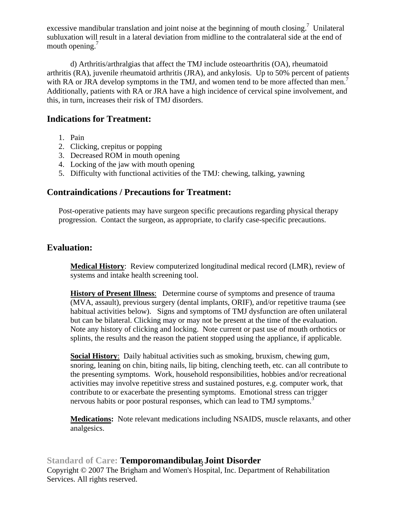excessive mandibular translation and joint noise at the beginning of mouth closing.<sup>7</sup> Unilateral subluxation will result in a lateral deviation from midline to the contralateral side at the end of mouth opening.<sup>7</sup>

d) Arthritis/arthralgias that affect the TMJ include osteoarthritis (OA), rheumatoid arthritis (RA), juvenile rheumatoid arthritis (JRA), and ankylosis. Up to 50% percent of patients with RA or JRA develop symptoms in the TMJ, and women tend to be more affected than men.<sup>7</sup> Additionally, patients with RA or JRA have a high incidence of cervical spine involvement, and this, in turn, increases their risk of TMJ disorders.

### **Indications for Treatment:**

- 1. Pain
- 2. Clicking, crepitus or popping
- 3. Decreased ROM in mouth opening
- 4. Locking of the jaw with mouth opening
- 5. Difficulty with functional activities of the TMJ: chewing, talking, yawning

### **Contraindications / Precautions for Treatment:**

Post-operative patients may have surgeon specific precautions regarding physical therapy progression. Contact the surgeon, as appropriate, to clarify case-specific precautions.

### **Evaluation:**

**Medical History**: Review computerized longitudinal medical record (LMR), review of systems and intake health screening tool.

**History of Present Illness**: Determine course of symptoms and presence of trauma (MVA, assault), previous surgery (dental implants, ORIF), and/or repetitive trauma (see habitual activities below). Signs and symptoms of TMJ dysfunction are often unilateral but can be bilateral. Clicking may or may not be present at the time of the evaluation. Note any history of clicking and locking. Note current or past use of mouth orthotics or splints, the results and the reason the patient stopped using the appliance, if applicable.

**Social History**: Daily habitual activities such as smoking, bruxism, chewing gum, snoring, leaning on chin, biting nails, lip biting, clenching teeth, etc. can all contribute to the presenting symptoms. Work, household responsibilities, hobbies and/or recreational activities may involve repetitive stress and sustained postures, e.g. computer work, that contribute to or exacerbate the presenting symptoms. Emotional stress can trigger nervous habits or poor postural responses, which can lead to TMJ symptoms.<sup>3</sup>

**Medications:** Note relevant medications including NSAIDS, muscle relaxants, and other analgesics.

# Standard of Care: Temporomandibular, Joint Disorder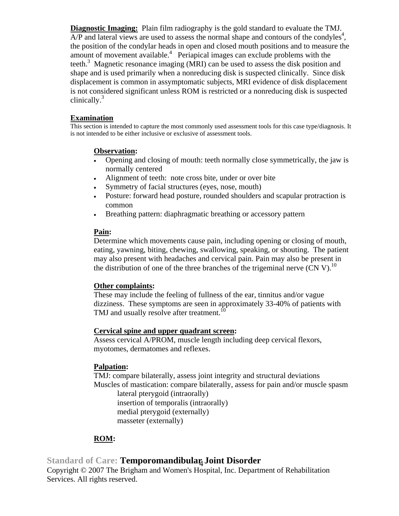**Diagnostic Imaging:** Plain film radiography is the gold standard to evaluate the TMJ.  $A/P$  and lateral views are used to assess the normal shape and contours of the condyles<sup>4</sup>, the position of the condylar heads in open and closed mouth positions and to measure the amount of movement available.<sup>4</sup> Periapical images can exclude problems with the teeth.<sup>3</sup> Magnetic resonance imaging (MRI) can be used to assess the disk position and shape and is used primarily when a nonreducing disk is suspected clinically. Since disk displacement is common in assymptomatic subjects, MRI evidence of disk displacement is not considered significant unless ROM is restricted or a nonreducing disk is suspected clinically. $3$ 

#### **Examination**

This section is intended to capture the most commonly used assessment tools for this case type/diagnosis. It is not intended to be either inclusive or exclusive of assessment tools.

#### **Observation:**

- Opening and closing of mouth: teeth normally close symmetrically, the jaw is normally centered
- Alignment of teeth: note cross bite, under or over bite
- Symmetry of facial structures (eyes, nose, mouth)
- Posture: forward head posture, rounded shoulders and scapular protraction is common
- Breathing pattern: diaphragmatic breathing or accessory pattern

#### **Pain:**

Determine which movements cause pain, including opening or closing of mouth, eating, yawning, biting, chewing, swallowing, speaking, or shouting. The patient may also present with headaches and cervical pain. Pain may also be present in the distribution of one of the three branches of the trigeminal nerve  $(CN V)$ .<sup>10</sup>

#### **Other complaints:**

These may include the feeling of fullness of the ear, tinnitus and/or vague dizziness. These symptoms are seen in approximately 33-40% of patients with TMJ and usually resolve after treatment.<sup>10</sup>

#### **Cervical spine and upper quadrant screen:**

Assess cervical A/PROM, muscle length including deep cervical flexors, myotomes, dermatomes and reflexes.

#### **Palpation:**

TMJ: compare bilaterally, assess joint integrity and structural deviations Muscles of mastication: compare bilaterally, assess for pain and/or muscle spasm lateral pterygoid (intraorally)

insertion of temporalis (intraorally) medial pterygoid (externally) masseter (externally)

### **ROM:**

# Standard of Care: Temporom<mark>andibular<sub>i</sub> Joint Disorder</mark>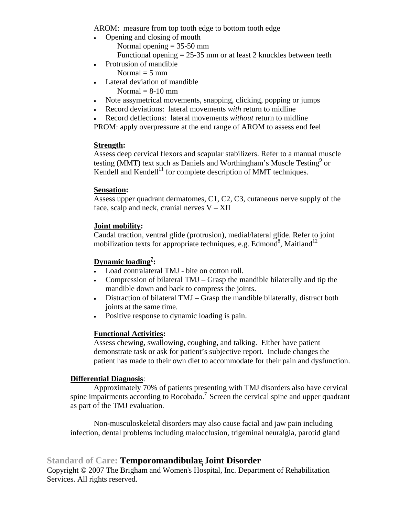AROM: measure from top tooth edge to bottom tooth edge

- Opening and closing of mouth
	- Normal opening  $= 35-50$  mm
	- Functional opening  $= 25-35$  mm or at least 2 knuckles between teeth
- Protrusion of mandible Normal  $=$  5 mm
- Lateral deviation of mandible
	- Normal  $= 8-10$  mm
- Note assymetrical movements, snapping, clicking, popping or jumps
- Record deviations: lateral movements *with* return to midline
- Record deflections: lateral movements *without* return to midline

PROM: apply overpressure at the end range of AROM to assess end feel

#### **Strength:**

Assess deep cervical flexors and scapular stabilizers. Refer to a manual muscle testing (MMT) text such as Daniels and Worthingham's Muscle Testing<sup>9</sup> or Kendell and Kendell<sup>11</sup> for complete description of MMT techniques.

#### **Sensation:**

Assess upper quadrant dermatomes, C1, C2, C3, cutaneous nerve supply of the face, scalp and neck, cranial nerves  $V - XII$ 

#### **Joint mobility:**

Caudal traction, ventral glide (protrusion), medial/lateral glide. Refer to joint mobilization texts for appropriate techniques, e.g. Edmond<sup>8</sup>, Maitland<sup>12</sup>

### **Dynamic loading7 :**

- Load contralateral TMJ bite on cotton roll.
- Compression of bilateral TMJ Grasp the mandible bilaterally and tip the mandible down and back to compress the joints.
- Distraction of bilateral TMJ Grasp the mandible bilaterally, distract both joints at the same time.
- Positive response to dynamic loading is pain.

#### **Functional Activities:**

Assess chewing, swallowing, coughing, and talking. Either have patient demonstrate task or ask for patient's subjective report. Include changes the patient has made to their own diet to accommodate for their pain and dysfunction.

#### **Differential Diagnosis**:

 Approximately 70% of patients presenting with TMJ disorders also have cervical spine impairments according to Rocobado.<sup>7</sup> Screen the cervical spine and upper quadrant as part of the TMJ evaluation.

 Non-musculoskeletal disorders may also cause facial and jaw pain including infection, dental problems including malocclusion, trigeminal neuralgia, parotid gland

# Standard of Care: Temporomandibular, Joint Disorder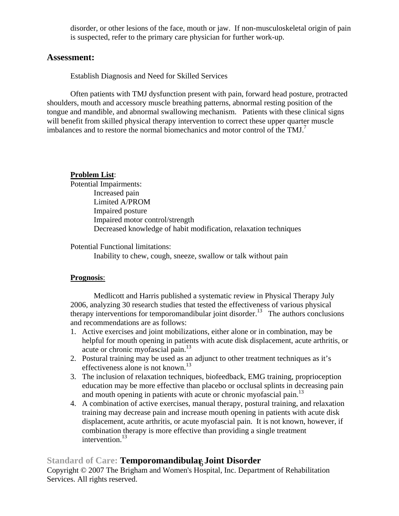disorder, or other lesions of the face, mouth or jaw. If non-musculoskeletal origin of pain is suspected, refer to the primary care physician for further work-up.

#### **Assessment:**

Establish Diagnosis and Need for Skilled Services

Often patients with TMJ dysfunction present with pain, forward head posture, protracted shoulders, mouth and accessory muscle breathing patterns, abnormal resting position of the tongue and mandible, and abnormal swallowing mechanism. Patients with these clinical signs will benefit from skilled physical therapy intervention to correct these upper quarter muscle imbalances and to restore the normal biomechanics and motor control of the  $TMJ<sup>7</sup>$ 

### **Problem List**:

Potential Impairments: Increased pain Limited A/PROM Impaired posture Impaired motor control/strength Decreased knowledge of habit modification, relaxation techniques

Potential Functional limitations:

Inability to chew, cough, sneeze, swallow or talk without pain

#### **Prognosis**:

Medlicott and Harris published a systematic review in Physical Therapy July 2006, analyzing 30 research studies that tested the effectiveness of various physical therapy interventions for temporomandibular joint disorder.<sup>13</sup> The authors conclusions and recommendations are as follows:

- 1. Active exercises and joint mobilizations, either alone or in combination, may be helpful for mouth opening in patients with acute disk displacement, acute arthritis, or acute or chronic myofascial pain.<sup>13</sup>
- 2. Postural training may be used as an adjunct to other treatment techniques as it's effectiveness alone is not known.<sup>13</sup>
- 3. The inclusion of relaxation techniques, biofeedback, EMG training, proprioception education may be more effective than placebo or occlusal splints in decreasing pain and mouth opening in patients with acute or chronic myofascial pain. $^{13}$
- 4. A combination of active exercises, manual therapy, postural training, and relaxation training may decrease pain and increase mouth opening in patients with acute disk displacement, acute arthritis, or acute myofascial pain. It is not known, however, if combination therapy is more effective than providing a single treatment intervention.<sup>13</sup>

# Standard of Care: Temporomandibular<sub>6</sub> Joint Disorder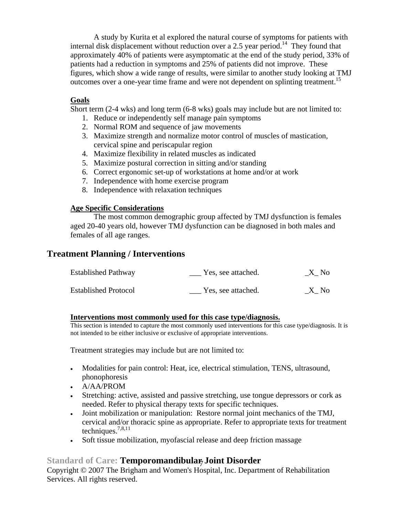A study by Kurita et al explored the natural course of symptoms for patients with internal disk displacement without reduction over a 2.5 year period.<sup>14</sup> They found that approximately 40% of patients were asymptomatic at the end of the study period, 33% of patients had a reduction in symptoms and 25% of patients did not improve. These figures, which show a wide range of results, were similar to another study looking at TMJ outcomes over a one-year time frame and were not dependent on splinting treatment.<sup>15</sup>

#### **Goals**

Short term (2-4 wks) and long term (6-8 wks) goals may include but are not limited to:

- 1. Reduce or independently self manage pain symptoms
- 2. Normal ROM and sequence of jaw movements
- 3. Maximize strength and normalize motor control of muscles of mastication, cervical spine and periscapular region
- 4. Maximize flexibility in related muscles as indicated
- 5. Maximize postural correction in sitting and/or standing
- 6. Correct ergonomic set-up of workstations at home and/or at work
- 7. Independence with home exercise program
- 8. Independence with relaxation techniques

### **Age Specific Considerations**

The most common demographic group affected by TMJ dysfunction is females aged 20-40 years old, however TMJ dysfunction can be diagnosed in both males and females of all age ranges.

## **Treatment Planning / Interventions**

| <b>Established Pathway</b>  | Yes, see attached. | X No |
|-----------------------------|--------------------|------|
| <b>Established Protocol</b> | Yes, see attached. | X No |

#### **Interventions most commonly used for this case type/diagnosis.**

This section is intended to capture the most commonly used interventions for this case type/diagnosis. It is not intended to be either inclusive or exclusive of appropriate interventions.

Treatment strategies may include but are not limited to:

- Modalities for pain control: Heat, ice, electrical stimulation, TENS, ultrasound, phonophoresis
- A/AA/PROM
- Stretching: active, assisted and passive stretching, use tongue depressors or cork as needed. Refer to physical therapy texts for specific techniques.
- Joint mobilization or manipulation: Restore normal joint mechanics of the TMJ, cervical and/or thoracic spine as appropriate. Refer to appropriate texts for treatment techniques.7,8,11
- Soft tissue mobilization, myofascial release and deep friction massage

# Standard of Care: **Temporomandibular, Joint Disorder**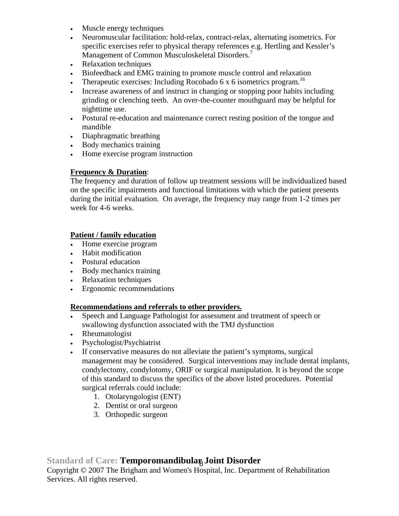- Muscle energy techniques
- Neuromuscular facilitation: hold-relax, contract-relax, alternating isometrics. For specific exercises refer to physical therapy references e.g. Hertling and Kessler's Management of Common Musculoskeletal Disorders.<sup>7</sup>
- Relaxation techniques
- Biofeedback and EMG training to promote muscle control and relaxation
- Therapeutic exercises: Including Rocobado 6 x 6 isometrics program.<sup>16</sup>
- Increase awareness of and instruct in changing or stopping poor habits including grinding or clenching teeth. An over-the-counter mouthguard may be helpful for nighttime use.
- Postural re-education and maintenance correct resting position of the tongue and mandible
- Diaphragmatic breathing
- Body mechanics training
- Home exercise program instruction

### **Frequency & Duration**:

The frequency and duration of follow up treatment sessions will be individualized based on the specific impairments and functional limitations with which the patient presents during the initial evaluation. On average, the frequency may range from 1-2 times per week for 4-6 weeks.

### **Patient / family education**

- Home exercise program
- Habit modification
- Postural education
- Body mechanics training
- Relaxation techniques
- Ergonomic recommendations

#### **Recommendations and referrals to other providers.**

- Speech and Language Pathologist for assessment and treatment of speech or swallowing dysfunction associated with the TMJ dysfunction
- Rheumatologist
- Psychologist/Psychiatrist
- If conservative measures do not alleviate the patient's symptoms, surgical management may be considered. Surgical interventions may include dental implants, condylectomy, condylotomy, ORIF or surgical manipulation. It is beyond the scope of this standard to discuss the specifics of the above listed procedures. Potential surgical referrals could include:
	- 1. Otolaryngologist (ENT)
	- 2. Dentist or oral surgeon
	- 3. Orthopedic surgeon

## Standard of Care: Temporomandibular, Joint Disorder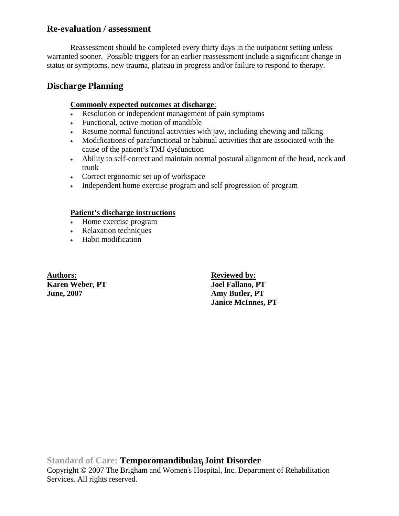### **Re-evaluation / assessment**

Reassessment should be completed every thirty days in the outpatient setting unless warranted sooner. Possible triggers for an earlier reassessment include a significant change in status or symptoms, new trauma, plateau in progress and/or failure to respond to therapy.

### **Discharge Planning**

#### **Commonly expected outcomes at discharge**:

- Resolution or independent management of pain symptoms
- Functional, active motion of mandible
- Resume normal functional activities with jaw, including chewing and talking
- Modifications of parafunctional or habitual activities that are associated with the cause of the patient's TMJ dysfunction
- Ability to self-correct and maintain normal postural alignment of the head, neck and trunk
- Correct ergonomic set up of workspace
- Independent home exercise program and self progression of program

### **Patient's discharge instructions**

- Home exercise program
- Relaxation techniques
- Habit modification

**Authors: Reviewed by: Karen Weber, PT** Joel Fallano, PT **June, 2007 Amy Butler, PT** 

 **Janice McInnes, PT** 

Standard of Care: Temporomandibular, Joint Disorder Copyright © 2007 The Brigham and Women's Hospital, Inc. Department of Rehabilitation Services. All rights reserved.